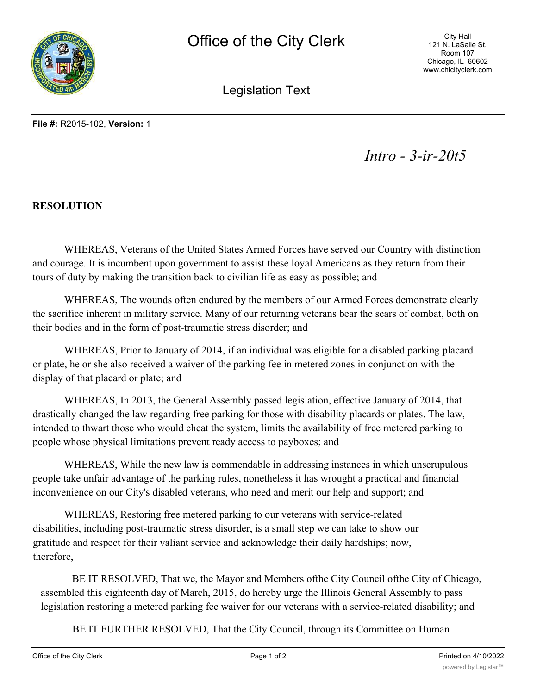

City Hall 121 N. LaSalle St. Room 107 Chicago, IL 60602 www.chicityclerk.com

Legislation Text

*Intro - 3-ir-20t5*

## **RESOLUTION**

WHEREAS, Veterans of the United States Armed Forces have served our Country with distinction and courage. It is incumbent upon government to assist these loyal Americans as they return from their tours of duty by making the transition back to civilian life as easy as possible; and

WHEREAS, The wounds often endured by the members of our Armed Forces demonstrate clearly the sacrifice inherent in military service. Many of our returning veterans bear the scars of combat, both on their bodies and in the form of post-traumatic stress disorder; and

WHEREAS, Prior to January of 2014, if an individual was eligible for a disabled parking placard or plate, he or she also received a waiver of the parking fee in metered zones in conjunction with the display of that placard or plate; and

WHEREAS, In 2013, the General Assembly passed legislation, effective January of 2014, that drastically changed the law regarding free parking for those with disability placards or plates. The law, intended to thwart those who would cheat the system, limits the availability of free metered parking to people whose physical limitations prevent ready access to payboxes; and

WHEREAS, While the new law is commendable in addressing instances in which unscrupulous people take unfair advantage of the parking rules, nonetheless it has wrought a practical and financial inconvenience on our City's disabled veterans, who need and merit our help and support; and

WHEREAS, Restoring free metered parking to our veterans with service-related disabilities, including post-traumatic stress disorder, is a small step we can take to show our gratitude and respect for their valiant service and acknowledge their daily hardships; now, therefore,

BE IT RESOLVED, That we, the Mayor and Members ofthe City Council ofthe City of Chicago, assembled this eighteenth day of March, 2015, do hereby urge the Illinois General Assembly to pass legislation restoring a metered parking fee waiver for our veterans with a service-related disability; and

BE IT FURTHER RESOLVED, That the City Council, through its Committee on Human